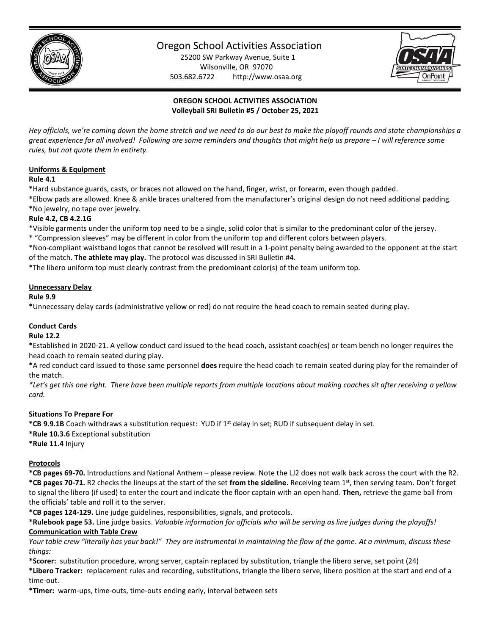

# Oregon School Activities Association

25200 SW Parkway Avenue, Suite 1 Wilsonville, OR 97070 503.682.6722 http://www.osaa.org



# **OREGON SCHOOL ACTIVITIES ASSOCIATION Volleyball SRI Bulletin #5 / October 25, 2021**

*Hey officials, we're coming down the home stretch and we need to do our best to make the playoff rounds and state championships a great experience for all involved! Following are some reminders and thoughts that might help us prepare – I will reference some rules, but not quote them in entirety.*

## **Uniforms & Equipment**

#### **Rule 4.1**

**\***Hard substance guards, casts, or braces not allowed on the hand, finger, wrist, or forearm, even though padded.

**\***Elbow pads are allowed. Knee & ankle braces unaltered from the manufacturer's original design do not need additional padding. **\***No jewelry, no tape over jewelry.

## **Rule 4.2, CB 4.2.1G**

\*Visible garments under the uniform top need to be a single, solid color that is similar to the predominant color of the jersey. \* "Compression sleeves" may be different in color from the uniform top and different colors between players.

\*Non-compliant waistband logos that cannot be resolved will result in a 1-point penalty being awarded to the opponent at the start of the match. **The athlete may play.** The protocol was discussed in SRI Bulletin #4.

\*The libero uniform top must clearly contrast from the predominant color(s) of the team uniform top.

## **Unnecessary Delay**

## **Rule 9.9**

**\***Unnecessary delay cards (administrative yellow or red) do not require the head coach to remain seated during play.

# **Conduct Cards**

#### **Rule 12.2**

**\***Established in 2020-21. A yellow conduct card issued to the head coach, assistant coach(es) or team bench no longer requires the head coach to remain seated during play.

**\***A red conduct card issued to those same personnel **does** require the head coach to remain seated during play for the remainder of the match.

*\*Let's get this one right. There have been multiple reports from multiple locations about making coaches sit after receiving a yellow card.*

# **Situations To Prepare For**

**\*CB 9.9.1B** Coach withdraws a substitution request: YUD if 1st delay in set; RUD if subsequent delay in set. **\*Rule 10.3.6** Exceptional substitution

**\*Rule 11.4** Injury

# **Protocols**

**\*CB pages 69-70.** Introductions and National Anthem – please review. Note the LJ2 does not walk back across the court with the R2. **\*CB pages 70-71.** R2 checks the lineups at the start of the set **from the sideline.** Receiving team 1st, then serving team. Don't forget to signal the libero (if used) to enter the court and indicate the floor captain with an open hand. **Then,** retrieve the game ball from the officials' table and roll it to the server.

**\*CB pages 124-129.** Line judge guidelines, responsibilities, signals, and protocols.

**\*Rulebook page 53.** Line judge basics. *Valuable information for officials who will be serving as line judges during the playoffs!* **Communication with Table Crew**

*Your table crew "literally has your back!" They are instrumental in maintaining the flow of the game. At a minimum, discuss these things:*

**\*Scorer:** substitution procedure, wrong server, captain replaced by substitution, triangle the libero serve, set point (24)

**\*Libero Tracker:** replacement rules and recording, substitutions, triangle the libero serve, libero position at the start and end of a time-out.

**\*Timer:** warm-ups, time-outs, time-outs ending early, interval between sets